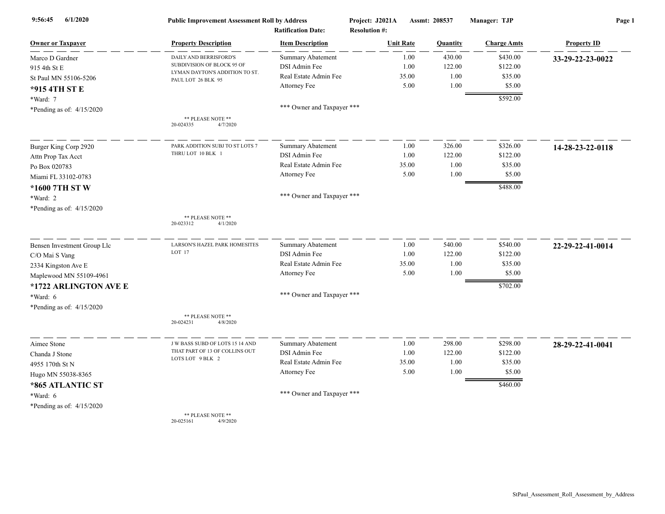| 6/1/2020<br>9:56:45         | <b>Public Improvement Assessment Roll by Address</b><br><b>Ratification Date:</b> |                            | Project: J2021A<br>Assmt: 208537<br><b>Resolution #:</b> |          | Manager: TJP       | Page 1             |
|-----------------------------|-----------------------------------------------------------------------------------|----------------------------|----------------------------------------------------------|----------|--------------------|--------------------|
| <b>Owner or Taxpayer</b>    | <b>Property Description</b>                                                       | <b>Item Description</b>    | <b>Unit Rate</b>                                         | Quantity | <b>Charge Amts</b> | <b>Property ID</b> |
| Marco D Gardner             | DAILY AND BERRISFORD'S                                                            | <b>Summary Abatement</b>   | 1.00                                                     | 430.00   | \$430.00           | 33-29-22-23-0022   |
| 915 4th St E                | SUBDIVISION OF BLOCK 95 OF                                                        | DSI Admin Fee              | 1.00                                                     | 122.00   | \$122.00           |                    |
| St Paul MN 55106-5206       | LYMAN DAYTON'S ADDITION TO ST.<br>PAUL LOT 26 BLK 95                              | Real Estate Admin Fee      | 35.00                                                    | 1.00     | \$35.00            |                    |
| *915 4TH ST E               |                                                                                   | Attorney Fee               | 5.00                                                     | 1.00     | \$5.00             |                    |
| *Ward: 7                    |                                                                                   |                            |                                                          |          | \$592.00           |                    |
| *Pending as of: $4/15/2020$ |                                                                                   | *** Owner and Taxpayer *** |                                                          |          |                    |                    |
|                             | ** PLEASE NOTE **<br>4/7/2020<br>20-024335                                        |                            |                                                          |          |                    |                    |
| Burger King Corp 2920       | PARK ADDITION SUBJ TO ST LOTS 7                                                   | <b>Summary Abatement</b>   | 1.00                                                     | 326.00   | \$326.00           | 14-28-23-22-0118   |
| Attn Prop Tax Acct          | THRU LOT 10 BLK 1                                                                 | DSI Admin Fee              | 1.00                                                     | 122.00   | \$122.00           |                    |
| Po Box 020783               |                                                                                   | Real Estate Admin Fee      | 35.00                                                    | 1.00     | \$35.00            |                    |
| Miami FL 33102-0783         |                                                                                   | Attorney Fee               | 5.00                                                     | 1.00     | \$5.00             |                    |
| *1600 7TH ST W              |                                                                                   |                            |                                                          |          | \$488.00           |                    |
| *Ward: 2                    |                                                                                   | *** Owner and Taxpayer *** |                                                          |          |                    |                    |
| *Pending as of: 4/15/2020   |                                                                                   |                            |                                                          |          |                    |                    |
|                             | ** PLEASE NOTE **<br>20-023312<br>4/1/2020                                        |                            |                                                          |          |                    |                    |
| Bensen Investment Group Llc | LARSON'S HAZEL PARK HOMESITES                                                     | Summary Abatement          | 1.00                                                     | 540.00   | \$540.00           | 22-29-22-41-0014   |
| C/O Mai S Vang              | LOT 17                                                                            | DSI Admin Fee              | 1.00                                                     | 122.00   | \$122.00           |                    |
| 2334 Kingston Ave E         |                                                                                   | Real Estate Admin Fee      | 35.00                                                    | 1.00     | \$35.00            |                    |
| Maplewood MN 55109-4961     |                                                                                   | Attorney Fee               | 5.00                                                     | 1.00     | \$5.00             |                    |
| *1722 ARLINGTON AVE E       |                                                                                   |                            |                                                          |          | \$702.00           |                    |
| *Ward: 6                    |                                                                                   | *** Owner and Taxpayer *** |                                                          |          |                    |                    |
| *Pending as of: 4/15/2020   |                                                                                   |                            |                                                          |          |                    |                    |
|                             | ** PLEASE NOTE **<br>20-024231<br>4/8/2020                                        |                            |                                                          |          |                    |                    |
| Aimee Stone                 | J W BASS SUBD OF LOTS 15 14 AND                                                   | <b>Summary Abatement</b>   | 1.00                                                     | 298.00   | \$298.00           | 28-29-22-41-0041   |
| Chanda J Stone              | THAT PART OF 13 OF COLLINS OUT<br>LOTS LOT 9 BLK 2                                | DSI Admin Fee              | 1.00                                                     | 122.00   | \$122.00           |                    |
| 4955 170th St N             |                                                                                   | Real Estate Admin Fee      | 35.00                                                    | 1.00     | \$35.00            |                    |
| Hugo MN 55038-8365          |                                                                                   | Attorney Fee               | 5.00                                                     | 1.00     | \$5.00             |                    |
| *865 ATLANTIC ST            |                                                                                   |                            |                                                          |          | \$460.00           |                    |
| *Ward: 6                    |                                                                                   | *** Owner and Taxpayer *** |                                                          |          |                    |                    |
| *Pending as of: $4/15/2020$ |                                                                                   |                            |                                                          |          |                    |                    |
|                             | ** PLEASE NOTE **                                                                 |                            |                                                          |          |                    |                    |

20-025161 4/9/2020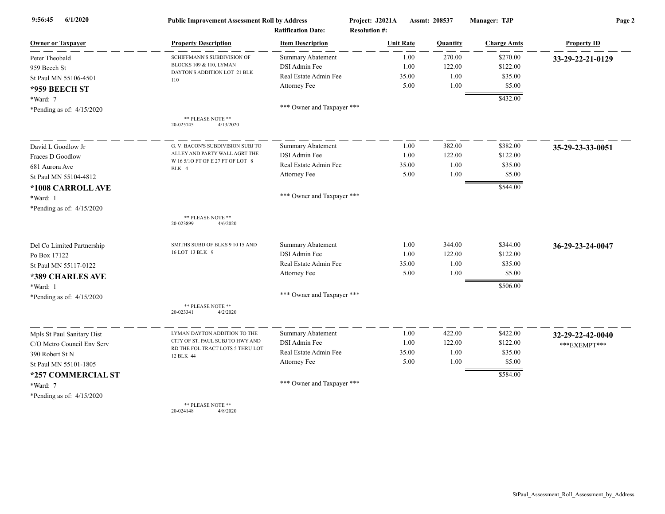| 6/1/2020<br>9:56:45         | <b>Public Improvement Assessment Roll by Address</b><br><b>Ratification Date:</b> |                            | Project: J2021A<br>Assmt: 208537<br><b>Resolution #:</b> |          | Manager: TJP       | Page 2             |  |
|-----------------------------|-----------------------------------------------------------------------------------|----------------------------|----------------------------------------------------------|----------|--------------------|--------------------|--|
| <b>Owner or Taxpayer</b>    | <b>Property Description</b>                                                       | <b>Item Description</b>    | <b>Unit Rate</b>                                         | Quantity | <b>Charge Amts</b> | <b>Property ID</b> |  |
| Peter Theobald              | SCHIFFMANN'S SUBDIVISION OF                                                       | <b>Summary Abatement</b>   | 1.00                                                     | 270.00   | \$270.00           | 33-29-22-21-0129   |  |
| 959 Beech St                | BLOCKS 109 & 110, LYMAN                                                           | DSI Admin Fee              | 1.00                                                     | 122.00   | \$122.00           |                    |  |
| St Paul MN 55106-4501       | DAYTON'S ADDITION LOT 21 BLK<br>110                                               | Real Estate Admin Fee      | 35.00                                                    | 1.00     | \$35.00            |                    |  |
| *959 BEECH ST               |                                                                                   | Attorney Fee               | 5.00                                                     | 1.00     | \$5.00             |                    |  |
| *Ward: 7                    |                                                                                   |                            |                                                          |          | \$432.00           |                    |  |
| *Pending as of: $4/15/2020$ |                                                                                   | *** Owner and Taxpayer *** |                                                          |          |                    |                    |  |
|                             | ** PLEASE NOTE **<br>4/13/2020<br>20-025745                                       |                            |                                                          |          |                    |                    |  |
| David L Goodlow Jr          | G. V. BACON'S SUBDIVISION SUBJ TO                                                 | <b>Summary Abatement</b>   | 1.00                                                     | 382.00   | \$382.00           | 35-29-23-33-0051   |  |
| Fraces D Goodlow            | ALLEY AND PARTY WALL AGRT THE                                                     | DSI Admin Fee              | 1.00                                                     | 122.00   | \$122.00           |                    |  |
| 681 Aurora Ave              | W 16 5/10 FT OF E 27 FT OF LOT 8<br>BLK 4                                         | Real Estate Admin Fee      | 35.00                                                    | 1.00     | \$35.00            |                    |  |
| St Paul MN 55104-4812       |                                                                                   | Attorney Fee               | 5.00                                                     | 1.00     | \$5.00             |                    |  |
| *1008 CARROLL AVE           |                                                                                   |                            |                                                          |          | \$544.00           |                    |  |
| *Ward: 1                    |                                                                                   | *** Owner and Taxpayer *** |                                                          |          |                    |                    |  |
| *Pending as of: $4/15/2020$ |                                                                                   |                            |                                                          |          |                    |                    |  |
|                             | ** PLEASE NOTE **<br>20-023899<br>4/6/2020                                        |                            |                                                          |          |                    |                    |  |
| Del Co Limited Partnership  | SMITHS SUBD OF BLKS 9 10 15 AND                                                   | Summary Abatement          | 1.00                                                     | 344.00   | \$344.00           | 36-29-23-24-0047   |  |
| Po Box 17122                | 16 LOT 13 BLK 9                                                                   | DSI Admin Fee              | 1.00                                                     | 122.00   | \$122.00           |                    |  |
| St Paul MN 55117-0122       |                                                                                   | Real Estate Admin Fee      | 35.00                                                    | 1.00     | \$35.00            |                    |  |
| *389 CHARLES AVE            |                                                                                   | Attorney Fee               | 5.00                                                     | 1.00     | \$5.00             |                    |  |
| $*Ward: 1$                  |                                                                                   |                            |                                                          |          | \$506.00           |                    |  |
| *Pending as of: $4/15/2020$ |                                                                                   | *** Owner and Taxpayer *** |                                                          |          |                    |                    |  |
|                             | ** PLEASE NOTE **<br>20-023341<br>4/2/2020                                        |                            |                                                          |          |                    |                    |  |
| Mpls St Paul Sanitary Dist  | LYMAN DAYTON ADDITION TO THE                                                      | Summary Abatement          | 1.00                                                     | 422.00   | \$422.00           | 32-29-22-42-0040   |  |
| C/O Metro Council Env Serv  | CITY OF ST. PAUL SUBJ TO HWY AND                                                  | DSI Admin Fee              | 1.00                                                     | 122.00   | \$122.00           | ***EXEMPT***       |  |
| 390 Robert St N             | RD THE FOL TRACT LOTS 5 THRU LOT<br>12 BLK 44                                     | Real Estate Admin Fee      | 35.00                                                    | 1.00     | \$35.00            |                    |  |
| St Paul MN 55101-1805       |                                                                                   | Attorney Fee               | 5.00                                                     | 1.00     | \$5.00             |                    |  |
| *257 COMMERCIAL ST          |                                                                                   |                            |                                                          |          | \$584.00           |                    |  |
| *Ward: 7                    |                                                                                   | *** Owner and Taxpayer *** |                                                          |          |                    |                    |  |
| *Pending as of: $4/15/2020$ |                                                                                   |                            |                                                          |          |                    |                    |  |
|                             | ** PLEASE NOTE **                                                                 |                            |                                                          |          |                    |                    |  |

20-024148 4/8/2020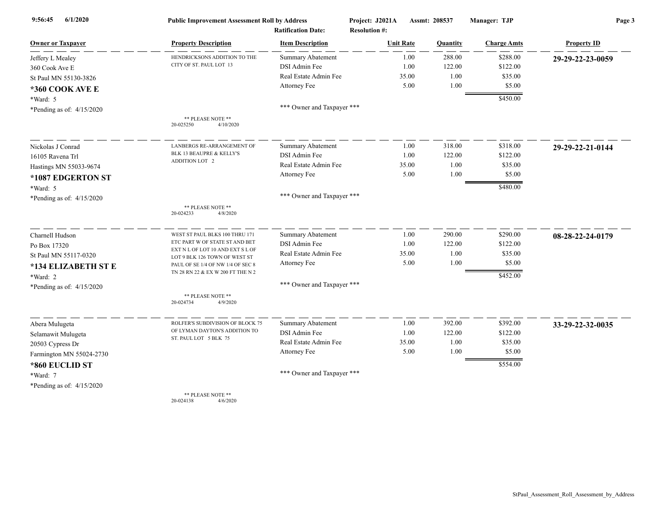| 6/1/2020<br>9:56:45         | <b>Public Improvement Assessment Roll by Address</b><br><b>Ratification Date:</b> |                            | Project: J2021A<br>Assmt: 208537<br><b>Resolution #:</b> |          | Manager: TJP       | Page 3             |  |
|-----------------------------|-----------------------------------------------------------------------------------|----------------------------|----------------------------------------------------------|----------|--------------------|--------------------|--|
| <b>Owner or Taxpayer</b>    | <b>Property Description</b>                                                       | <b>Item Description</b>    | <b>Unit Rate</b>                                         | Quantity | <b>Charge Amts</b> | <b>Property ID</b> |  |
| Jeffery L Mealey            | HENDRICKSONS ADDITION TO THE                                                      | <b>Summary Abatement</b>   | 1.00                                                     | 288.00   | \$288.00           | 29-29-22-23-0059   |  |
| 360 Cook Ave E              | CITY OF ST. PAUL LOT 13                                                           | DSI Admin Fee              | 1.00                                                     | 122.00   | \$122.00           |                    |  |
| St Paul MN 55130-3826       |                                                                                   | Real Estate Admin Fee      | 35.00                                                    | 1.00     | \$35.00            |                    |  |
| *360 COOK AVE E             |                                                                                   | Attorney Fee               | 5.00                                                     | 1.00     | \$5.00             |                    |  |
| *Ward: 5                    |                                                                                   |                            |                                                          |          | \$450.00           |                    |  |
| *Pending as of: $4/15/2020$ |                                                                                   | *** Owner and Taxpayer *** |                                                          |          |                    |                    |  |
|                             | ** PLEASE NOTE **<br>20-025250<br>4/10/2020                                       |                            |                                                          |          |                    |                    |  |
| Nickolas J Conrad           | LANBERGS RE-ARRANGEMENT OF                                                        | Summary Abatement          | 1.00                                                     | 318.00   | \$318.00           | 29-29-22-21-0144   |  |
| 16105 Ravena Trl            | <b>BLK 13 BEAUPRE &amp; KELLY'S</b>                                               | DSI Admin Fee              | 1.00                                                     | 122.00   | \$122.00           |                    |  |
| Hastings MN 55033-9674      | ADDITION LOT 2                                                                    | Real Estate Admin Fee      | 35.00                                                    | 1.00     | \$35.00            |                    |  |
| *1087 EDGERTON ST           |                                                                                   | Attorney Fee               | 5.00                                                     | 1.00     | \$5.00             |                    |  |
| *Ward: 5                    |                                                                                   |                            |                                                          |          | \$480.00           |                    |  |
| *Pending as of: $4/15/2020$ |                                                                                   | *** Owner and Taxpayer *** |                                                          |          |                    |                    |  |
|                             | ** PLEASE NOTE **<br>20-024233<br>4/8/2020                                        |                            |                                                          |          |                    |                    |  |
| Charnell Hudson             | WEST ST PAUL BLKS 100 THRU 171                                                    | Summary Abatement          | 1.00                                                     | 290.00   | \$290.00           | 08-28-22-24-0179   |  |
| Po Box 17320                | ETC PART W OF STATE ST AND BET                                                    | DSI Admin Fee              | 1.00                                                     | 122.00   | \$122.00           |                    |  |
| St Paul MN 55117-0320       | EXT N L OF LOT 10 AND EXT S L OF<br>LOT 9 BLK 126 TOWN OF WEST ST                 | Real Estate Admin Fee      | 35.00                                                    | 1.00     | \$35.00            |                    |  |
| *134 ELIZABETH ST E         | PAUL OF SE 1/4 OF NW 1/4 OF SEC 8                                                 | Attorney Fee               | 5.00                                                     | 1.00     | \$5.00             |                    |  |
| *Ward: 2                    | TN 28 RN 22 & EX W 200 FT THE N 2                                                 |                            |                                                          |          | \$452.00           |                    |  |
| *Pending as of: $4/15/2020$ |                                                                                   | *** Owner and Taxpayer *** |                                                          |          |                    |                    |  |
|                             | ** PLEASE NOTE **<br>20-024734<br>4/9/2020                                        |                            |                                                          |          |                    |                    |  |
| Abera Mulugeta              | ROLFER'S SUBDIVISION OF BLOCK 75                                                  | <b>Summary Abatement</b>   | 1.00                                                     | 392.00   | \$392.00           | 33-29-22-32-0035   |  |
| Selamawit Mulugeta          | OF LYMAN DAYTON'S ADDITION TO                                                     | DSI Admin Fee              | 1.00                                                     | 122.00   | \$122.00           |                    |  |
| 20503 Cypress Dr            | ST. PAUL LOT 5 BLK 75                                                             | Real Estate Admin Fee      | 35.00                                                    | 1.00     | \$35.00            |                    |  |
| Farmington MN 55024-2730    |                                                                                   | Attorney Fee               | 5.00                                                     | 1.00     | \$5.00             |                    |  |
| *860 EUCLID ST              |                                                                                   |                            |                                                          |          | \$554.00           |                    |  |
| *Ward: 7                    |                                                                                   | *** Owner and Taxpayer *** |                                                          |          |                    |                    |  |
| *Pending as of: $4/15/2020$ |                                                                                   |                            |                                                          |          |                    |                    |  |
|                             | ** PLEASE NOTE **                                                                 |                            |                                                          |          |                    |                    |  |

20-024138 4/6/2020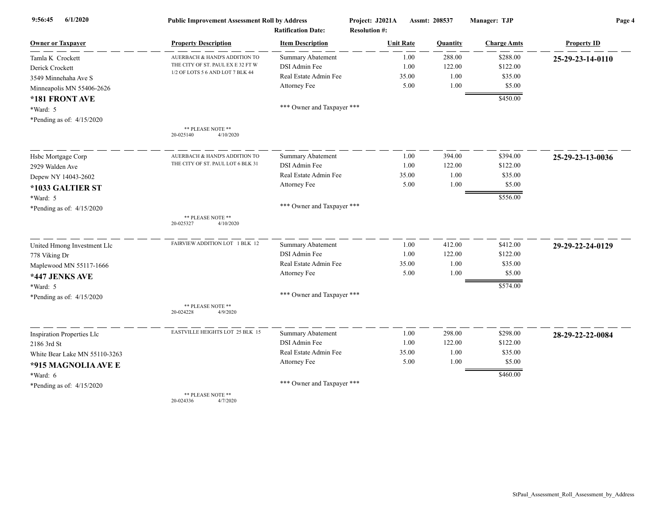| 6/1/2020<br>9:56:45               | <b>Public Improvement Assessment Roll by Address</b><br><b>Ratification Date:</b> |                            | Project: J2021A<br><b>Resolution #:</b> | Assmt: 208537 | Manager: TJP       | Page 4             |  |
|-----------------------------------|-----------------------------------------------------------------------------------|----------------------------|-----------------------------------------|---------------|--------------------|--------------------|--|
| <b>Owner or Taxpayer</b>          | <b>Property Description</b>                                                       | <b>Item Description</b>    | <b>Unit Rate</b>                        | Quantity      | <b>Charge Amts</b> | <b>Property ID</b> |  |
| Tamla K Crockett                  | AUERBACH & HAND'S ADDITION TO                                                     | <b>Summary Abatement</b>   | 1.00                                    | 288.00        | \$288.00           | 25-29-23-14-0110   |  |
| Derick Crockett                   | THE CITY OF ST. PAUL EX E 32 FT W                                                 | DSI Admin Fee              | 1.00                                    | 122.00        | \$122.00           |                    |  |
| 3549 Minnehaha Ave S              | 1/2 OF LOTS 5 6 AND LOT 7 BLK 44                                                  | Real Estate Admin Fee      | 35.00                                   | 1.00          | \$35.00            |                    |  |
| Minneapolis MN 55406-2626         |                                                                                   | Attorney Fee               | 5.00                                    | 1.00          | \$5.00             |                    |  |
| *181 FRONT AVE                    |                                                                                   |                            |                                         |               | \$450.00           |                    |  |
| *Ward: 5                          |                                                                                   | *** Owner and Taxpayer *** |                                         |               |                    |                    |  |
| *Pending as of: 4/15/2020         |                                                                                   |                            |                                         |               |                    |                    |  |
|                                   | ** PLEASE NOTE **<br>20-025140<br>4/10/2020                                       |                            |                                         |               |                    |                    |  |
| Hsbc Mortgage Corp                | AUERBACH & HAND'S ADDITION TO                                                     | Summary Abatement          | 1.00                                    | 394.00        | \$394.00           | 25-29-23-13-0036   |  |
| 2929 Walden Ave                   | THE CITY OF ST. PAUL LOT 6 BLK 31                                                 | DSI Admin Fee              | 1.00                                    | 122.00        | \$122.00           |                    |  |
| Depew NY 14043-2602               |                                                                                   | Real Estate Admin Fee      | 35.00                                   | 1.00          | \$35.00            |                    |  |
| *1033 GALTIER ST                  |                                                                                   | Attorney Fee               | 5.00                                    | 1.00          | \$5.00             |                    |  |
| *Ward: 5                          |                                                                                   |                            |                                         |               | \$556.00           |                    |  |
| *Pending as of: 4/15/2020         |                                                                                   | *** Owner and Taxpayer *** |                                         |               |                    |                    |  |
|                                   | ** PLEASE NOTE **<br>20-025327<br>4/10/2020                                       |                            |                                         |               |                    |                    |  |
| United Hmong Investment Llc       | FAIRVIEW ADDITION LOT 1 BLK 12                                                    | <b>Summary Abatement</b>   | 1.00                                    | 412.00        | \$412.00           | 29-29-22-24-0129   |  |
| 778 Viking Dr                     |                                                                                   | DSI Admin Fee              | 1.00                                    | 122.00        | \$122.00           |                    |  |
| Maplewood MN 55117-1666           |                                                                                   | Real Estate Admin Fee      | 35.00                                   | 1.00          | \$35.00            |                    |  |
| *447 JENKS AVE                    |                                                                                   | Attorney Fee               | 5.00                                    | 1.00          | \$5.00             |                    |  |
| *Ward: 5                          |                                                                                   |                            |                                         |               | \$574.00           |                    |  |
| *Pending as of: 4/15/2020         |                                                                                   | *** Owner and Taxpayer *** |                                         |               |                    |                    |  |
|                                   | ** PLEASE NOTE **<br>20-024228<br>4/9/2020                                        |                            |                                         |               |                    |                    |  |
| <b>Inspiration Properties Llc</b> | EASTVILLE HEIGHTS LOT 25 BLK 15                                                   | <b>Summary Abatement</b>   | 1.00                                    | 298.00        | \$298.00           | 28-29-22-22-0084   |  |
| 2186 3rd St                       |                                                                                   | DSI Admin Fee              | 1.00                                    | 122.00        | \$122.00           |                    |  |
| White Bear Lake MN 55110-3263     |                                                                                   | Real Estate Admin Fee      | 35.00                                   | 1.00          | \$35.00            |                    |  |
| *915 MAGNOLIA AVE E               |                                                                                   | Attorney Fee               | 5.00                                    | 1.00          | \$5.00             |                    |  |
| $*Ward: 6$                        |                                                                                   |                            |                                         |               | \$460.00           |                    |  |
| *Pending as of: 4/15/2020         |                                                                                   | *** Owner and Taxpayer *** |                                         |               |                    |                    |  |
|                                   | ** PLEASE NOTE **                                                                 |                            |                                         |               |                    |                    |  |

20-024336 4/7/2020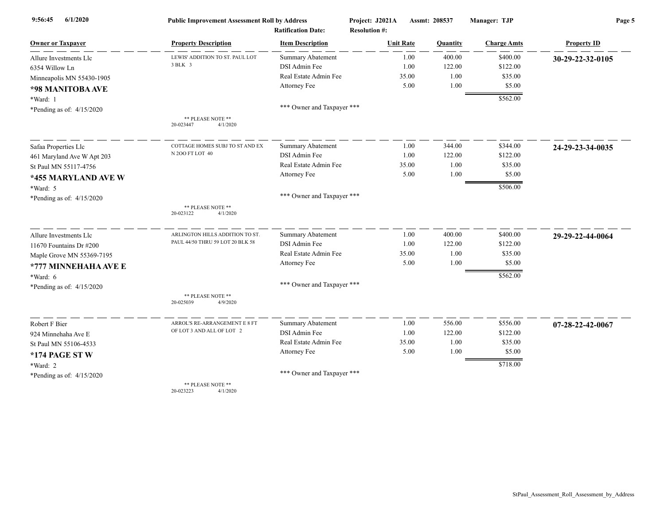| 6/1/2020<br>9:56:45         | <b>Public Improvement Assessment Roll by Address</b><br><b>Ratification Date:</b> |                            | Project: J2021A      | Assmt: 208537 | Manager: TJP       | Page 5             |  |
|-----------------------------|-----------------------------------------------------------------------------------|----------------------------|----------------------|---------------|--------------------|--------------------|--|
|                             |                                                                                   |                            | <b>Resolution #:</b> |               |                    |                    |  |
| <b>Owner or Taxpayer</b>    | <b>Property Description</b>                                                       | <b>Item Description</b>    | <b>Unit Rate</b>     | Quantity      | <b>Charge Amts</b> | <b>Property ID</b> |  |
| Allure Investments Llc      | LEWIS' ADDITION TO ST. PAUL LOT                                                   | <b>Summary Abatement</b>   | 1.00                 | 400.00        | \$400.00           | 30-29-22-32-0105   |  |
| 6354 Willow Ln              | 3 BLK 3                                                                           | DSI Admin Fee              | 1.00                 | 122.00        | \$122.00           |                    |  |
| Minneapolis MN 55430-1905   |                                                                                   | Real Estate Admin Fee      | 35.00                | 1.00          | \$35.00            |                    |  |
| *98 MANITOBA AVE            |                                                                                   | Attorney Fee               | 5.00                 | 1.00          | \$5.00             |                    |  |
| *Ward: 1                    |                                                                                   |                            |                      |               | \$562.00           |                    |  |
| *Pending as of: $4/15/2020$ |                                                                                   | *** Owner and Taxpayer *** |                      |               |                    |                    |  |
|                             | ** PLEASE NOTE **                                                                 |                            |                      |               |                    |                    |  |
|                             | 20-023447<br>4/1/2020                                                             |                            |                      |               |                    |                    |  |
| Safaa Properties Llc        | COTTAGE HOMES SUBJ TO ST AND EX                                                   | <b>Summary Abatement</b>   | 1.00                 | 344.00        | \$344.00           | 24-29-23-34-0035   |  |
| 461 Maryland Ave W Apt 203  | N 200 FT LOT 40                                                                   | DSI Admin Fee              | 1.00                 | 122.00        | \$122.00           |                    |  |
| St Paul MN 55117-4756       |                                                                                   | Real Estate Admin Fee      | 35.00                | 1.00          | \$35.00            |                    |  |
| *455 MARYLAND AVE W         |                                                                                   | Attorney Fee               | 5.00                 | 1.00          | \$5.00             |                    |  |
| *Ward: 5                    |                                                                                   |                            |                      |               | \$506.00           |                    |  |
| *Pending as of: $4/15/2020$ |                                                                                   | *** Owner and Taxpayer *** |                      |               |                    |                    |  |
|                             | ** PLEASE NOTE **<br>20-023122<br>4/1/2020                                        |                            |                      |               |                    |                    |  |
| Allure Investments Llc      | ARLINGTON HILLS ADDITION TO ST.                                                   | <b>Summary Abatement</b>   | 1.00                 | 400.00        | \$400.00           | 29-29-22-44-0064   |  |
| 11670 Fountains Dr #200     | PAUL 44/50 THRU 59 LOT 20 BLK 58                                                  | DSI Admin Fee              | 1.00                 | 122.00        | \$122.00           |                    |  |
| Maple Grove MN 55369-7195   |                                                                                   | Real Estate Admin Fee      | 35.00                | 1.00          | \$35.00            |                    |  |
| *777 MINNEHAHA AVE E        |                                                                                   | Attorney Fee               | 5.00                 | 1.00          | \$5.00             |                    |  |
| $*Ward: 6$                  |                                                                                   |                            |                      |               | \$562.00           |                    |  |
| *Pending as of: $4/15/2020$ |                                                                                   | *** Owner and Taxpayer *** |                      |               |                    |                    |  |
|                             | ** PLEASE NOTE **<br>20-025039<br>4/9/2020                                        |                            |                      |               |                    |                    |  |
| Robert F Bier               | ARROL'S RE-ARRANGEMENT E 8 FT                                                     | Summary Abatement          | 1.00                 | 556.00        | \$556.00           | 07-28-22-42-0067   |  |
| 924 Minnehaha Ave E         | OF LOT 3 AND ALL OF LOT 2                                                         | DSI Admin Fee              | 1.00                 | 122.00        | \$122.00           |                    |  |
| St Paul MN 55106-4533       |                                                                                   | Real Estate Admin Fee      | 35.00                | 1.00          | \$35.00            |                    |  |
| *174 PAGE ST W              |                                                                                   | Attorney Fee               | 5.00                 | 1.00          | \$5.00             |                    |  |
| *Ward: 2                    |                                                                                   |                            |                      |               | \$718.00           |                    |  |
| *Pending as of: $4/15/2020$ |                                                                                   | *** Owner and Taxpayer *** |                      |               |                    |                    |  |
|                             | ** PLEASE NOTE **                                                                 |                            |                      |               |                    |                    |  |

20-023223 4/1/2020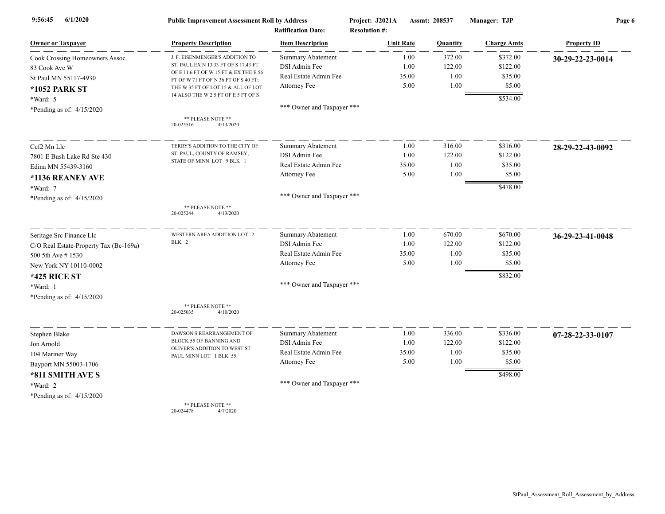| 6/1/2020<br>9:56:45                    | <b>Public Improvement Assessment Roll by Address</b><br><b>Ratification Date:</b> |                            | Project: J2021A<br><b>Resolution #:</b> |       | Assmt: 208537 | Manager: TJP       | Page 6             |  |
|----------------------------------------|-----------------------------------------------------------------------------------|----------------------------|-----------------------------------------|-------|---------------|--------------------|--------------------|--|
| <b>Owner or Taxpayer</b>               | <b>Property Description</b>                                                       | <b>Item Description</b>    | <b>Unit Rate</b>                        |       | Quantity      | <b>Charge Amts</b> | <b>Property ID</b> |  |
| Cook Crossing Homeowners Assoc         | J. F. EISENMENGER'S ADDITION TO                                                   | <b>Summary Abatement</b>   |                                         | 1.00  | 372.00        | \$372.00           | 30-29-22-23-0014   |  |
| 83 Cook Ave W                          | ST. PAUL EX N 13.33 FT OF S 17.43 FT                                              | DSI Admin Fee              |                                         | 1.00  | 122.00        | \$122.00           |                    |  |
| St Paul MN 55117-4930                  | OF E 11.6 FT OF W 15 FT & EX THE E 56<br>FT OF W 71 FT OF N 36 FT OF S 40 FT;     | Real Estate Admin Fee      |                                         | 35.00 | 1.00          | \$35.00            |                    |  |
| <b>*1052 PARK ST</b>                   | THE W 35 FT OF LOT 15 & ALL OF LOT                                                | Attorney Fee               |                                         | 5.00  | 1.00          | \$5.00             |                    |  |
| *Ward: 5                               | 14 ALSO THE W 2.5 FT OF E 5 FT OF S                                               |                            |                                         |       |               | \$534.00           |                    |  |
| *Pending as of: $4/15/2020$            |                                                                                   | *** Owner and Taxpayer *** |                                         |       |               |                    |                    |  |
|                                        | ** PLEASE NOTE **<br>20-025516<br>4/13/2020                                       |                            |                                         |       |               |                    |                    |  |
| Ccf2 Mn Llc                            | TERRY'S ADDITION TO THE CITY OF                                                   | <b>Summary Abatement</b>   |                                         | 1.00  | 316.00        | \$316.00           | 28-29-22-43-0092   |  |
| 7801 E Bush Lake Rd Ste 430            | ST. PAUL, COUNTY OF RAMSEY,                                                       | DSI Admin Fee              |                                         | 1.00  | 122.00        | \$122.00           |                    |  |
| Edina MN 55439-3160                    | STATE OF MINN. LOT 9 BLK 1                                                        | Real Estate Admin Fee      |                                         | 35.00 | 1.00          | \$35.00            |                    |  |
| *1136 REANEY AVE                       |                                                                                   | Attorney Fee               |                                         | 5.00  | 1.00          | \$5.00             |                    |  |
| *Ward: 7                               |                                                                                   |                            |                                         |       |               | \$478.00           |                    |  |
| *Pending as of: 4/15/2020              |                                                                                   | *** Owner and Taxpayer *** |                                         |       |               |                    |                    |  |
|                                        | ** PLEASE NOTE **<br>20-025244<br>4/13/2020                                       |                            |                                         |       |               |                    |                    |  |
| Seritage Src Finance Llc               | WESTERN AREA ADDITION LOT 2                                                       | <b>Summary Abatement</b>   |                                         | 1.00  | 670.00        | \$670.00           | 36-29-23-41-0048   |  |
| C/O Real Estate-Property Tax (Bc-169a) | BLK 2                                                                             | DSI Admin Fee              |                                         | 1.00  | 122.00        | \$122.00           |                    |  |
| 500 5th Ave #1530                      |                                                                                   | Real Estate Admin Fee      |                                         | 35.00 | 1.00          | \$35.00            |                    |  |
| New York NY 10110-0002                 |                                                                                   | Attorney Fee               |                                         | 5.00  | 1.00          | \$5.00             |                    |  |
| <b>*425 RICE ST</b>                    |                                                                                   |                            |                                         |       |               | \$832.00           |                    |  |
| *Ward: 1                               |                                                                                   | *** Owner and Taxpayer *** |                                         |       |               |                    |                    |  |
| *Pending as of: $4/15/2020$            |                                                                                   |                            |                                         |       |               |                    |                    |  |
|                                        | ** PLEASE NOTE **<br>20-025035<br>4/10/2020                                       |                            |                                         |       |               |                    |                    |  |
| Stephen Blake                          | DAWSON'S REARRANGEMENT OF                                                         | <b>Summary Abatement</b>   |                                         | 1.00  | 336.00        | \$336.00           | 07-28-22-33-0107   |  |
| Jon Arnold                             | BLOCK 55 OF BANNING AND                                                           | DSI Admin Fee              |                                         | 1.00  | 122.00        | \$122.00           |                    |  |
| 104 Mariner Way                        | OLIVER'S ADDITION TO WEST ST<br>PAUL MINN LOT 1 BLK 55                            | Real Estate Admin Fee      |                                         | 35.00 | 1.00          | \$35.00            |                    |  |
| Bayport MN 55003-1706                  |                                                                                   | Attorney Fee               |                                         | 5.00  | 1.00          | \$5.00             |                    |  |
| *811 SMITH AVE S                       |                                                                                   |                            |                                         |       |               | \$498.00           |                    |  |
| *Ward: 2                               |                                                                                   | *** Owner and Taxpayer *** |                                         |       |               |                    |                    |  |
| *Pending as of: $4/15/2020$            |                                                                                   |                            |                                         |       |               |                    |                    |  |
|                                        | $**$ DI EACE MOTE $**$                                                            |                            |                                         |       |               |                    |                    |  |

\*\* PLEASE NOTE \*\* 20-024478 4/7/2020